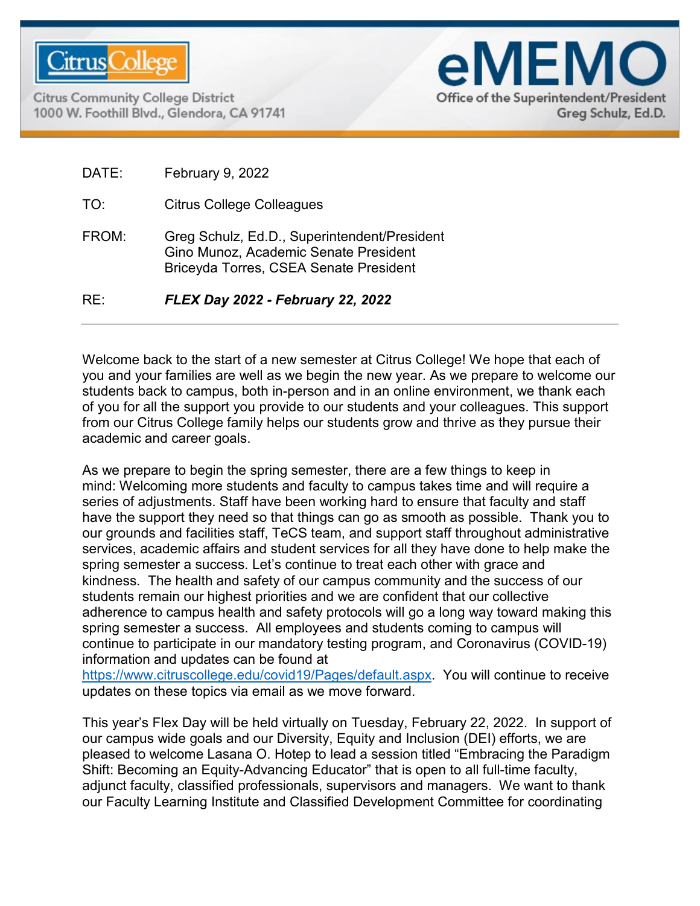

**Citrus Community College District** 1000 W. Foothill Blvd., Glendora, CA 91741



| RF <sup>.</sup> | FLEX Day 2022 - February 22, 2022                                                                                                      |
|-----------------|----------------------------------------------------------------------------------------------------------------------------------------|
| FROM:           | Greg Schulz, Ed.D., Superintendent/President<br>Gino Munoz, Academic Senate President<br><b>Briceyda Torres, CSEA Senate President</b> |
| TO:             | <b>Citrus College Colleagues</b>                                                                                                       |
| DATE:           | February 9, 2022                                                                                                                       |

Welcome back to the start of a new semester at Citrus College! We hope that each of you and your families are well as we begin the new year. As we prepare to welcome our students back to campus, both in-person and in an online environment, we thank each of you for all the support you provide to our students and your colleagues. This support from our Citrus College family helps our students grow and thrive as they pursue their academic and career goals.

As we prepare to begin the spring semester, there are a few things to keep in mind: Welcoming more students and faculty to campus takes time and will require a series of adjustments. Staff have been working hard to ensure that faculty and staff have the support they need so that things can go as smooth as possible. Thank you to our grounds and facilities staff, TeCS team, and support staff throughout administrative services, academic affairs and student services for all they have done to help make the spring semester a success. Let's continue to treat each other with grace and kindness. The health and safety of our campus community and the success of our students remain our highest priorities and we are confident that our collective adherence to campus health and safety protocols will go a long way toward making this spring semester a success. All employees and students coming to campus will continue to participate in our mandatory testing program, and Coronavirus (COVID-19) information and updates can be found at

[https://www.citruscollege.edu/covid19/Pages/default.aspx.](https://www.citruscollege.edu/covid19/Pages/default.aspx) You will continue to receive updates on these topics via email as we move forward.

This year's Flex Day will be held virtually on Tuesday, February 22, 2022. In support of our campus wide goals and our Diversity, Equity and Inclusion (DEI) efforts, we are pleased to welcome Lasana O. Hotep to lead a session titled "Embracing the Paradigm Shift: Becoming an Equity-Advancing Educator" that is open to all full-time faculty, adjunct faculty, classified professionals, supervisors and managers. We want to thank our Faculty Learning Institute and Classified Development Committee for coordinating